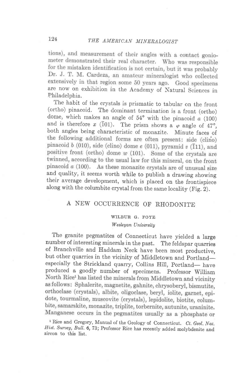tions), and measurement of their angles with a contact goniometer demonstrated their real character. Who was responsible for the mistaken identification is not certain, but it was probably Dr. J. T. M. Cardeza, an amateur mineralogist who collected extensively in that region some 50 years ago. Good specimens are now on exhibition in the Academy of Natural Sciences in Fhiladelphia.

The habit of the crystals is prismatic to tabular on the front (ortho) pinacoid. The dominant termination is a front (ortho) dome, which makes an angle of  $54^{\circ}$  with the pinacoid a (100) and is therefore x (101). The prism shows a  $\varphi$  angle of 47°, both angles being characteristic of monazite. Minute faces of the following additional forms are often present: side (clino) pinacoid  $b$  (010), side (clino) dome  $e$  (011), pyramid  $v$  (111), and positive front (ortho) dome  $w$  (101). Some of the crystals are twinned, according to the usual law for this mineral, on the front pinacoid  $a$  (100). As these monazite crystals are of unusual size and quality, it seems worth while to publish a drawing showing their average development, which is placed on the frontispiece along with the columbite crystal from the same locality (Fig. Z).

## A NEW OCCURRENCE OF RHODONITE

## WILBUR G. FOYE

## Wesleyan University

The granite pegmatites of Connecticut have yielded a large number of interesting minerals in the past. The feldspar quarries of Branchville and Haddam Neck have been most productive, but other quarries in the vicinity of Middletown and Portlandespecially the Strickland quarry, Collins Hill, Portland- have produced a goodly number of specimens. Professor William North Rice<sup>1</sup> has listed the minerals from Middletown and vicinity as follows: Sphalerite, magnetite, gahnite, chrysoberyl, bismutite, orthoclase (crystals), albite, oligoclase, beryl, iolite, garnet, epidote, tourmaline, muscovite (crystals), lepidolite, biotite, columbite, samarskite, monazite, triplite, torbernite, autunite, uraninite. Manganese occurs in the pegmatites usually as a phosphate or

<sup>1</sup> Rice and Gregory, Manual of the Geology of Connecticut. Ct. Geol. Nat. Hist. Survey, Bull. 6, 73; Professor Rice has recently added molybdenite and zircon to this list,